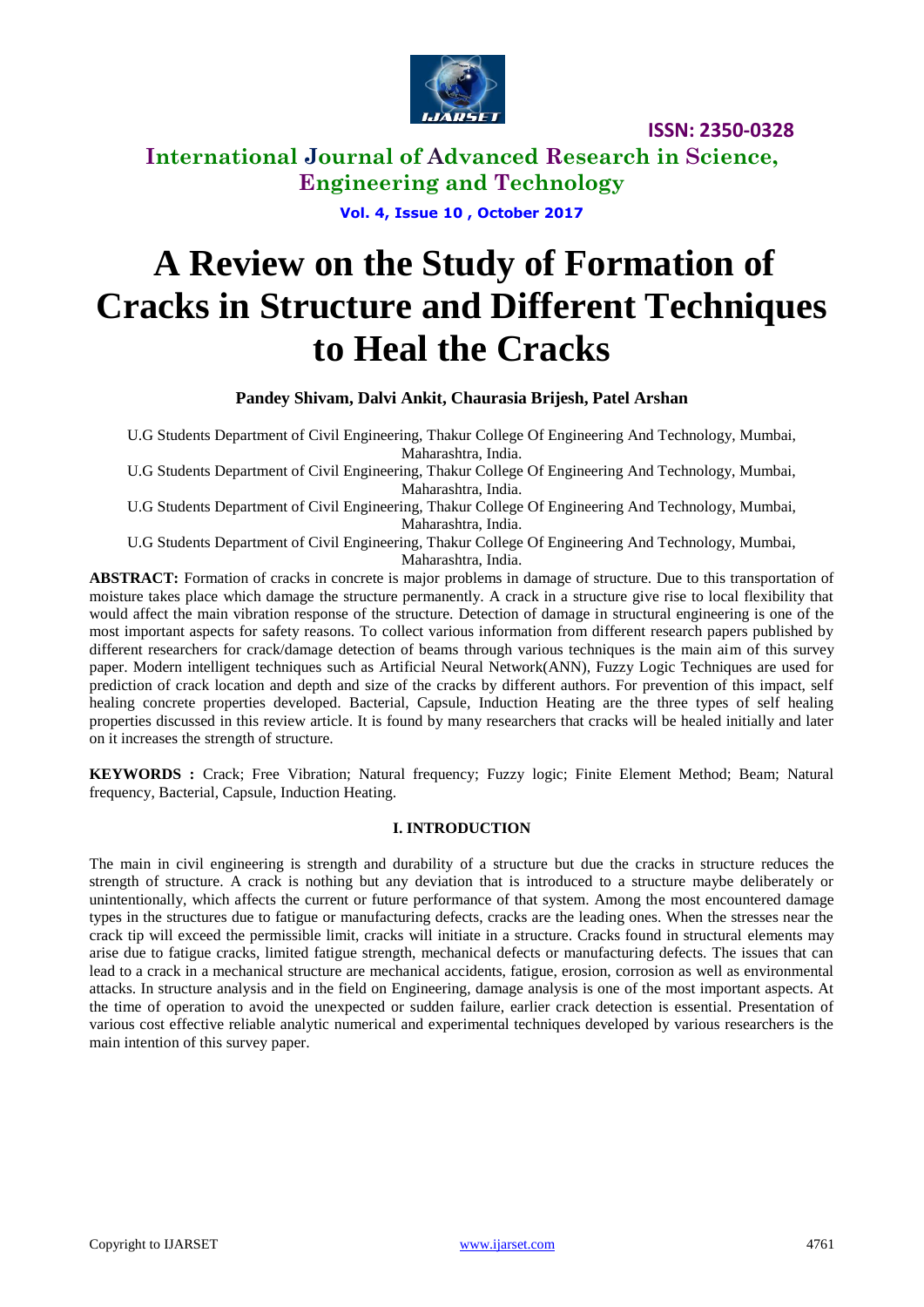

**International Journal of Advanced Research in Science, Engineering and Technology**

**Vol. 4, Issue 10 , October 2017**

# **A Review on the Study of Formation of Cracks in Structure and Different Techniques to Heal the Cracks**

**Pandey Shivam, Dalvi Ankit, Chaurasia Brijesh, Patel Arshan**

U.G Students Department of Civil Engineering, Thakur College Of Engineering And Technology, Mumbai, Maharashtra, India.

U.G Students Department of Civil Engineering, Thakur College Of Engineering And Technology, Mumbai, Maharashtra, India.

U.G Students Department of Civil Engineering, Thakur College Of Engineering And Technology, Mumbai, Maharashtra, India.

U.G Students Department of Civil Engineering, Thakur College Of Engineering And Technology, Mumbai, Maharashtra, India.

**ABSTRACT:** Formation of cracks in concrete is major problems in damage of structure. Due to this transportation of moisture takes place which damage the structure permanently. A crack in a structure give rise to local flexibility that would affect the main vibration response of the structure. Detection of damage in structural engineering is one of the most important aspects for safety reasons. To collect various information from different research papers published by different researchers for crack/damage detection of beams through various techniques is the main aim of this survey paper. Modern intelligent techniques such as Artificial Neural Network(ANN), Fuzzy Logic Techniques are used for prediction of crack location and depth and size of the cracks by different authors. For prevention of this impact, self healing concrete properties developed. Bacterial, Capsule, Induction Heating are the three types of self healing properties discussed in this review article. It is found by many researchers that cracks will be healed initially and later on it increases the strength of structure.

**KEYWORDS :** Crack; Free Vibration; Natural frequency; Fuzzy logic; Finite Element Method; Beam; Natural frequency, Bacterial, Capsule, Induction Heating.

#### **I. INTRODUCTION**

The main in civil engineering is strength and durability of a structure but due the cracks in structure reduces the strength of structure. A crack is nothing but any deviation that is introduced to a structure maybe deliberately or unintentionally, which affects the current or future performance of that system. Among the most encountered damage types in the structures due to fatigue or manufacturing defects, cracks are the leading ones. When the stresses near the crack tip will exceed the permissible limit, cracks will initiate in a structure. Cracks found in structural elements may arise due to fatigue cracks, limited fatigue strength, mechanical defects or manufacturing defects. The issues that can lead to a crack in a mechanical structure are mechanical accidents, fatigue, erosion, corrosion as well as environmental attacks. In structure analysis and in the field on Engineering, damage analysis is one of the most important aspects. At the time of operation to avoid the unexpected or sudden failure, earlier crack detection is essential. Presentation of various cost effective reliable analytic numerical and experimental techniques developed by various researchers is the main intention of this survey paper.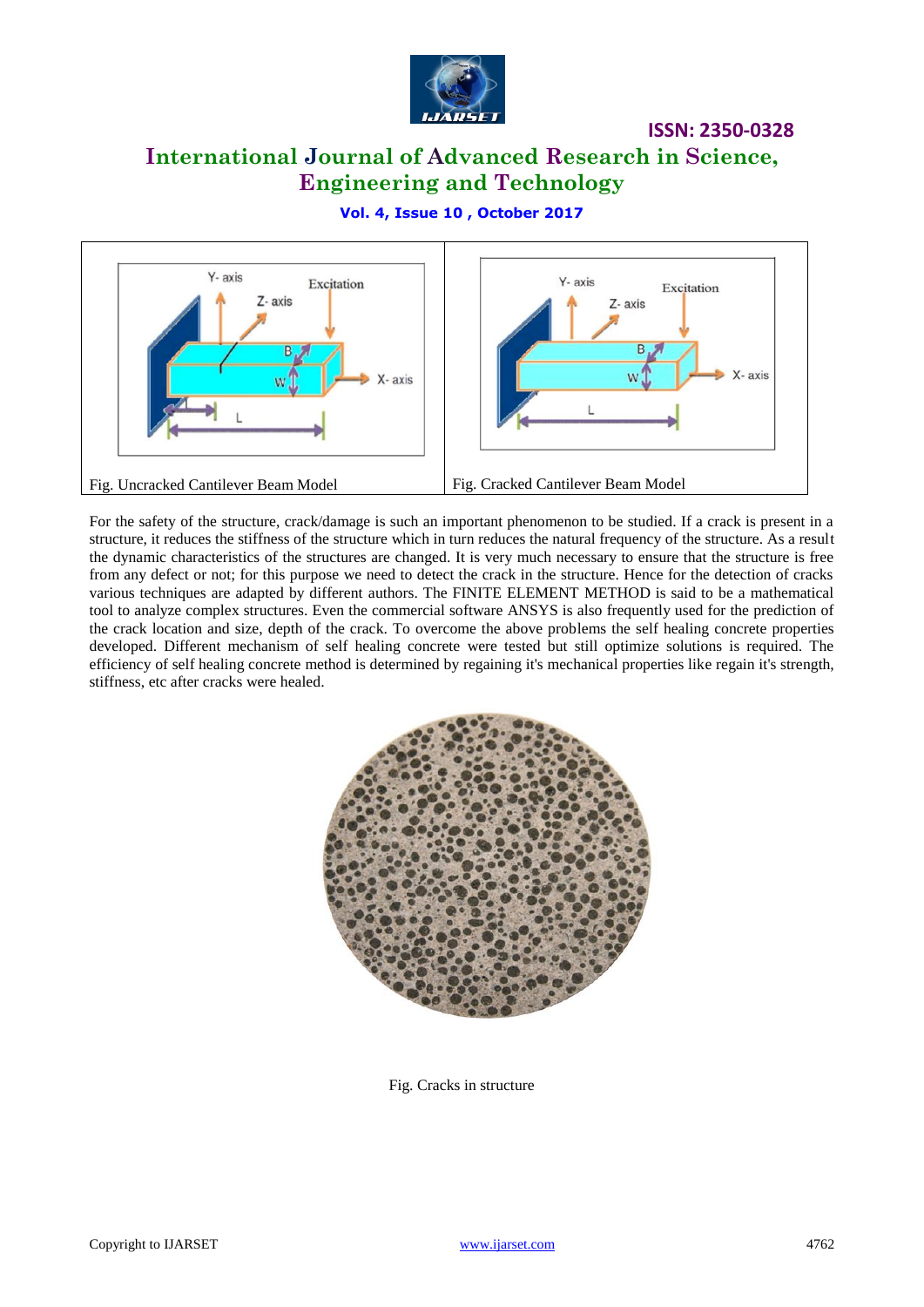

# **International Journal of Advanced Research in Science, Engineering and Technology**

**Vol. 4, Issue 10 , October 2017**



For the safety of the structure, crack/damage is such an important phenomenon to be studied. If a crack is present in a structure, it reduces the stiffness of the structure which in turn reduces the natural frequency of the structure. As a result the dynamic characteristics of the structures are changed. It is very much necessary to ensure that the structure is free from any defect or not; for this purpose we need to detect the crack in the structure. Hence for the detection of cracks various techniques are adapted by different authors. The FINITE ELEMENT METHOD is said to be a mathematical tool to analyze complex structures. Even the commercial software ANSYS is also frequently used for the prediction of the crack location and size, depth of the crack. To overcome the above problems the self healing concrete properties developed. Different mechanism of self healing concrete were tested but still optimize solutions is required. The efficiency of self healing concrete method is determined by regaining it's mechanical properties like regain it's strength, stiffness, etc after cracks were healed.



Fig. Cracks in structure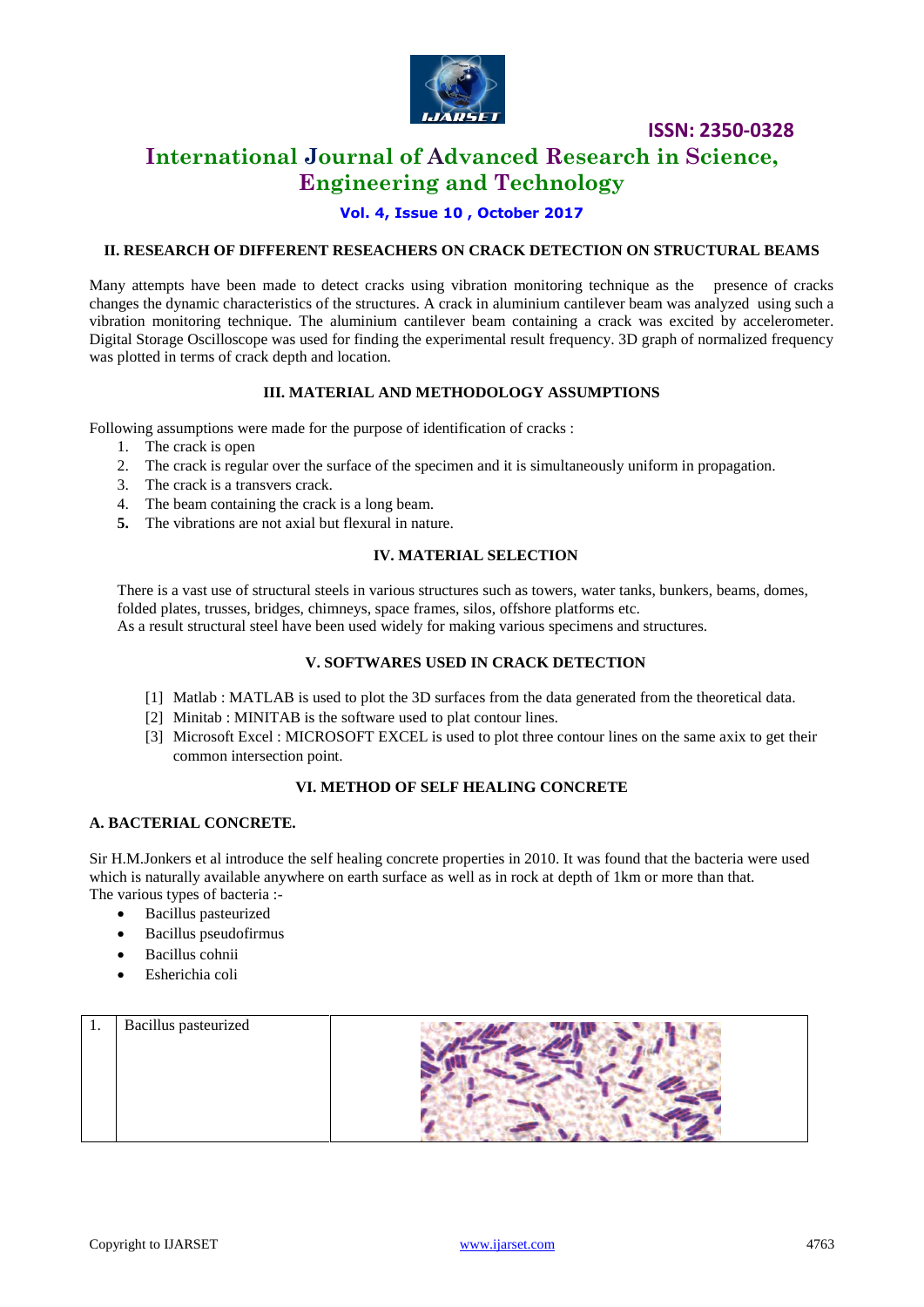

# **International Journal of Advanced Research in Science, Engineering and Technology**

**Vol. 4, Issue 10 , October 2017**

#### **II. RESEARCH OF DIFFERENT RESEACHERS ON CRACK DETECTION ON STRUCTURAL BEAMS**

Many attempts have been made to detect cracks using vibration monitoring technique as the presence of cracks changes the dynamic characteristics of the structures. A crack in aluminium cantilever beam was analyzed using such a vibration monitoring technique. The aluminium cantilever beam containing a crack was excited by accelerometer. Digital Storage Oscilloscope was used for finding the experimental result frequency. 3D graph of normalized frequency was plotted in terms of crack depth and location.

#### **III. MATERIAL AND METHODOLOGY ASSUMPTIONS**

Following assumptions were made for the purpose of identification of cracks :

- 1. The crack is open
- 2. The crack is regular over the surface of the specimen and it is simultaneously uniform in propagation.
- 3. The crack is a transvers crack.
- 4. The beam containing the crack is a long beam.
- **5.** The vibrations are not axial but flexural in nature.

#### **IV. MATERIAL SELECTION**

There is a vast use of structural steels in various structures such as towers, water tanks, bunkers, beams, domes, folded plates, trusses, bridges, chimneys, space frames, silos, offshore platforms etc. As a result structural steel have been used widely for making various specimens and structures.

#### **V. SOFTWARES USED IN CRACK DETECTION**

- [1] Matlab : MATLAB is used to plot the 3D surfaces from the data generated from the theoretical data.
- [2] Minitab : MINITAB is the software used to plat contour lines.
- [3] Microsoft Excel : MICROSOFT EXCEL is used to plot three contour lines on the same axix to get their common intersection point.

#### **VI. METHOD OF SELF HEALING CONCRETE**

#### **A. BACTERIAL CONCRETE.**

Sir H.M.Jonkers et al introduce the self healing concrete properties in 2010. It was found that the bacteria were used which is naturally available anywhere on earth surface as well as in rock at depth of 1km or more than that. The various types of bacteria :-

- Bacillus pasteurized
- Bacillus pseudofirmus
- Bacillus cohnii
- Esherichia coli

| 1. | <b>Bacillus</b> pasteurized |  |
|----|-----------------------------|--|
|    |                             |  |
|    |                             |  |
|    |                             |  |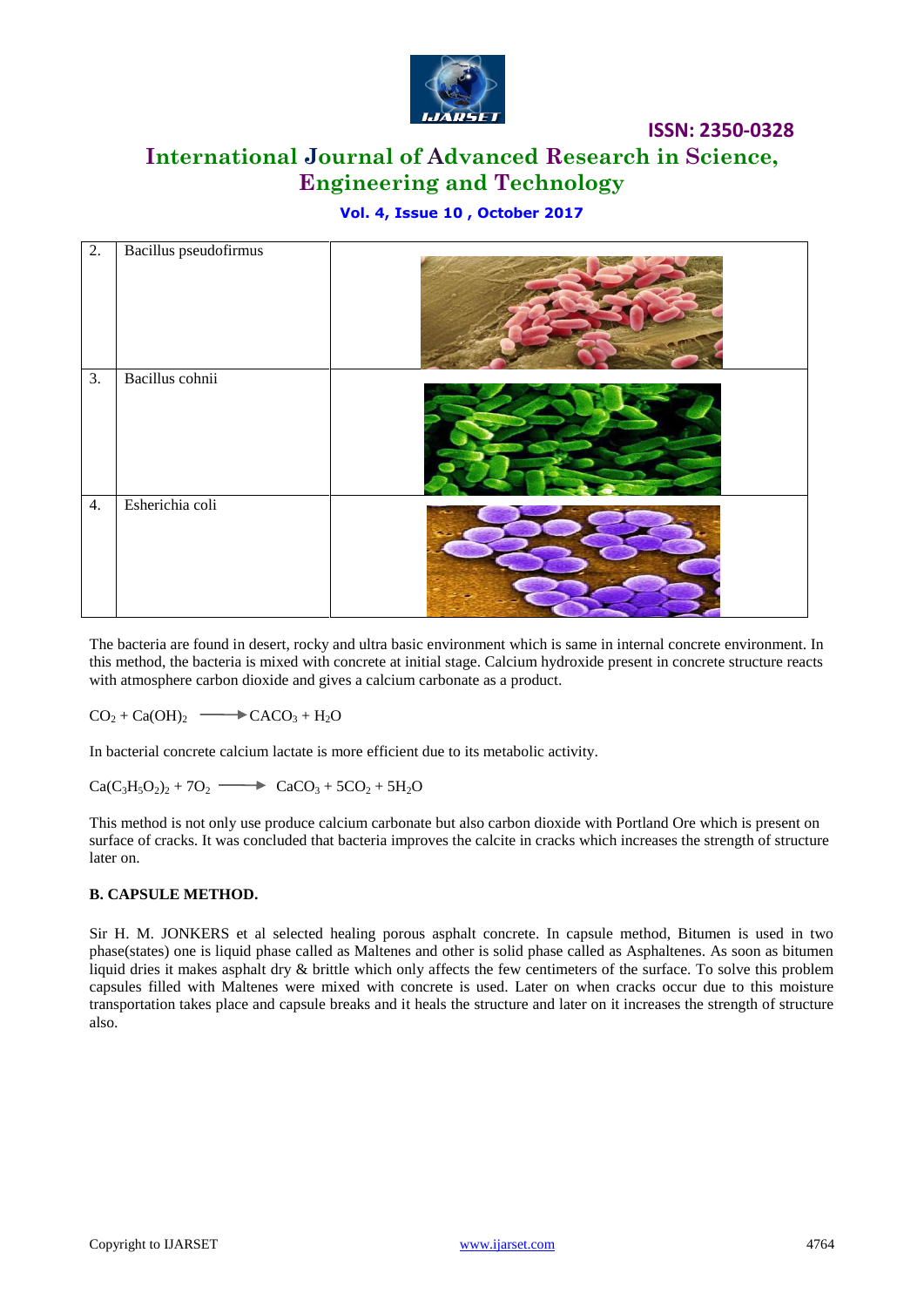

# **International Journal of Advanced Research in Science, Engineering and Technology**

## **Vol. 4, Issue 10 , October 2017**

| 2.               | Bacillus pseudofirmus |  |
|------------------|-----------------------|--|
| $\overline{3}$ . | Bacillus cohnii       |  |
| 4.               | Esherichia coli       |  |

The bacteria are found in desert, rocky and ultra basic environment which is same in internal concrete environment. In this method, the bacteria is mixed with concrete at initial stage. Calcium hydroxide present in concrete structure reacts with atmosphere carbon dioxide and gives a calcium carbonate as a product.

 $CO_2 + Ca(OH)_2 \longrightarrow CACO_3 + H_2O$ 

In bacterial concrete calcium lactate is more efficient due to its metabolic activity.

 $Ca(C_3H_5O_2)_2 + 7O_2 \longrightarrow CaCO_3 + 5CO_2 + 5H_2O$ 

This method is not only use produce calcium carbonate but also carbon dioxide with Portland Ore which is present on surface of cracks. It was concluded that bacteria improves the calcite in cracks which increases the strength of structure later on.

#### **B. CAPSULE METHOD.**

Sir H. M. JONKERS et al selected healing porous asphalt concrete. In capsule method, Bitumen is used in two phase(states) one is liquid phase called as Maltenes and other is solid phase called as Asphaltenes. As soon as bitumen liquid dries it makes asphalt dry & brittle which only affects the few centimeters of the surface. To solve this problem capsules filled with Maltenes were mixed with concrete is used. Later on when cracks occur due to this moisture transportation takes place and capsule breaks and it heals the structure and later on it increases the strength of structure also.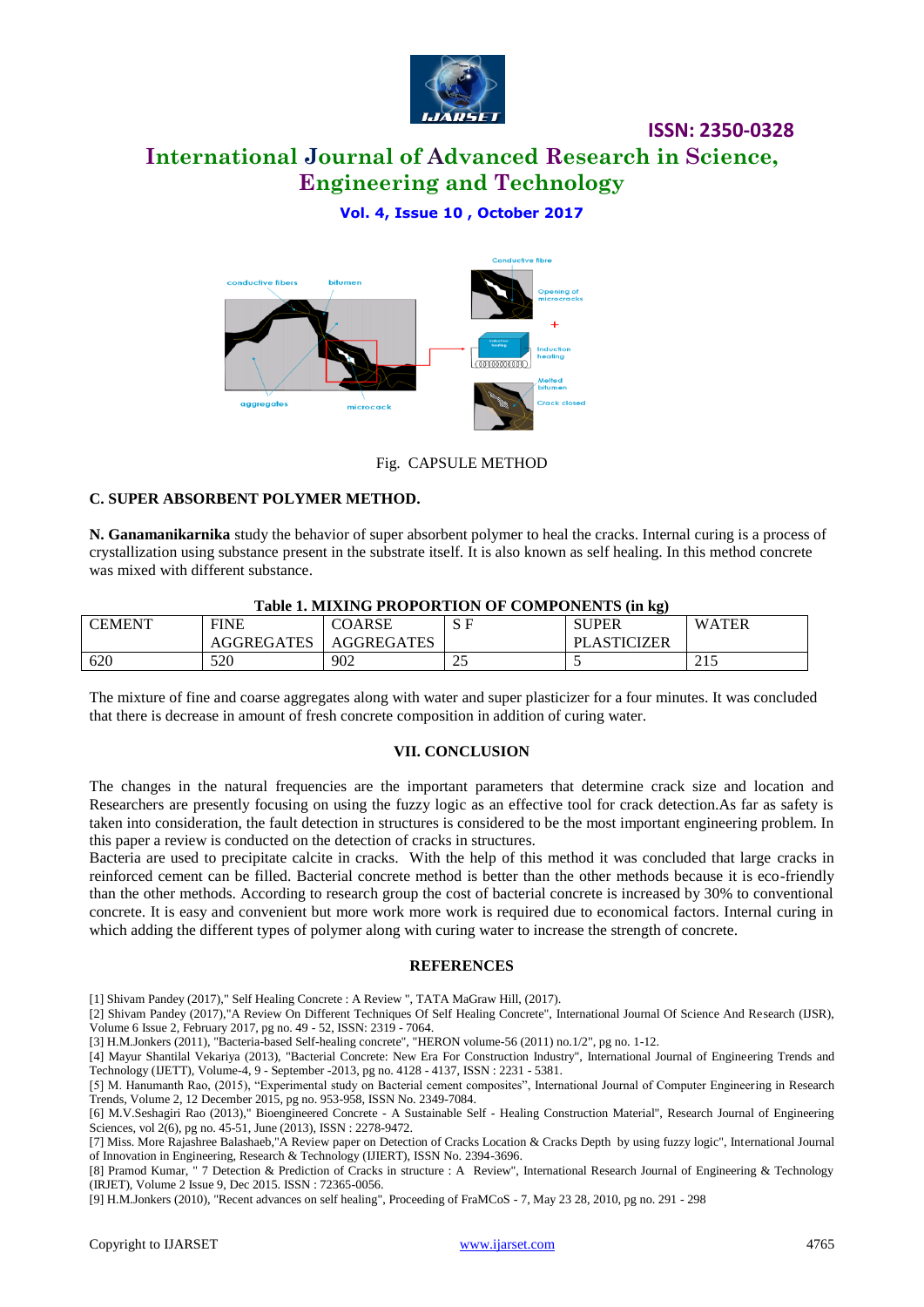

**International Journal of Advanced Research in Science, Engineering and Technology**

## **Vol. 4, Issue 10 , October 2017**



Fig. CAPSULE METHOD

#### **C. SUPER ABSORBENT POLYMER METHOD.**

**N. Ganamanikarnika** study the behavior of super absorbent polymer to heal the cracks. Internal curing is a process of crystallization using substance present in the substrate itself. It is also known as self healing. In this method concrete was mixed with different substance.

| TABLE 1. MIXING FROFORTION OF COMPONENTS (III R2) |                   |                   |                    |                    |              |  |  |  |  |  |
|---------------------------------------------------|-------------------|-------------------|--------------------|--------------------|--------------|--|--|--|--|--|
| <b>CEMENT</b>                                     | <b>FINE</b>       | COARSE            |                    | <b>SUPER</b>       | <b>WATER</b> |  |  |  |  |  |
|                                                   | <b>AGGREGATES</b> | <b>AGGREGATES</b> |                    | <b>PLASTICIZER</b> |              |  |  |  |  |  |
| 620                                               | 520               | 902               | $\mathcal{L}$<br>ت |                    | ر 1 ب        |  |  |  |  |  |

#### **Table 1. MIXING PROPORTION OF COMPONENTS (in kg)**

The mixture of fine and coarse aggregates along with water and super plasticizer for a four minutes. It was concluded that there is decrease in amount of fresh concrete composition in addition of curing water.

#### **VII. CONCLUSION**

The changes in the natural frequencies are the important parameters that determine crack size and location and Researchers are presently focusing on using the fuzzy logic as an effective tool for crack detection.As far as safety is taken into consideration, the fault detection in structures is considered to be the most important engineering problem. In this paper a review is conducted on the detection of cracks in structures.

Bacteria are used to precipitate calcite in cracks. With the help of this method it was concluded that large cracks in reinforced cement can be filled. Bacterial concrete method is better than the other methods because it is eco-friendly than the other methods. According to research group the cost of bacterial concrete is increased by 30% to conventional concrete. It is easy and convenient but more work more work is required due to economical factors. Internal curing in which adding the different types of polymer along with curing water to increase the strength of concrete.

#### **REFERENCES**

[1] Shivam Pandey (2017)," Self Healing Concrete : A Review ", TATA MaGraw Hill, (2017).

[2] Shivam Pandey (2017),"A Review On Different Techniques Of Self Healing Concrete", International Journal Of Science And Research (IJSR), Volume 6 Issue 2, February 2017, pg no. 49 - 52, ISSN: 2319 - 7064.

[3] H.M.Jonkers (2011), "Bacteria-based Self-healing concrete", "HERON volume-56 (2011) no.1/2", pg no. 1-12.

[4] Mayur Shantilal Vekariya (2013), "Bacterial Concrete: New Era For Construction Industry", International Journal of Engineering Trends and Technology (IJETT), Volume-4, 9 - September -2013, pg no. 4128 - 4137, ISSN : 2231 - 5381.

[7] Miss. More Rajashree Balashaeb,"A Review paper on Detection of Cracks Location & Cracks Depth by using fuzzy logic", International Journal of Innovation in Engineering, Research & Technology (IJIERT), ISSN No. 2394-3696.

[8] Pramod Kumar, " 7 Detection & Prediction of Cracks in structure : A Review", International Research Journal of Engineering & Technology (IRJET), Volume 2 Issue 9, Dec 2015. ISSN : 72365-0056.

[9] H.M.Jonkers (2010), "Recent advances on self healing", Proceeding of FraMCoS - 7, May 23 28, 2010, pg no. 291 - 298

<sup>[5]</sup> M. Hanumanth Rao, (2015), "Experimental study on Bacterial cement composites", International Journal of Computer Engineering in Research Trends, Volume 2, 12 December 2015, pg no. 953-958, ISSN No. 2349-7084.

<sup>[6]</sup> M.V.Seshagiri Rao (2013)," Bioengineered Concrete - A Sustainable Self - Healing Construction Material", Research Journal of Engineering Sciences, vol 2(6), pg no. 45-51, June (2013), ISSN : 2278-9472.